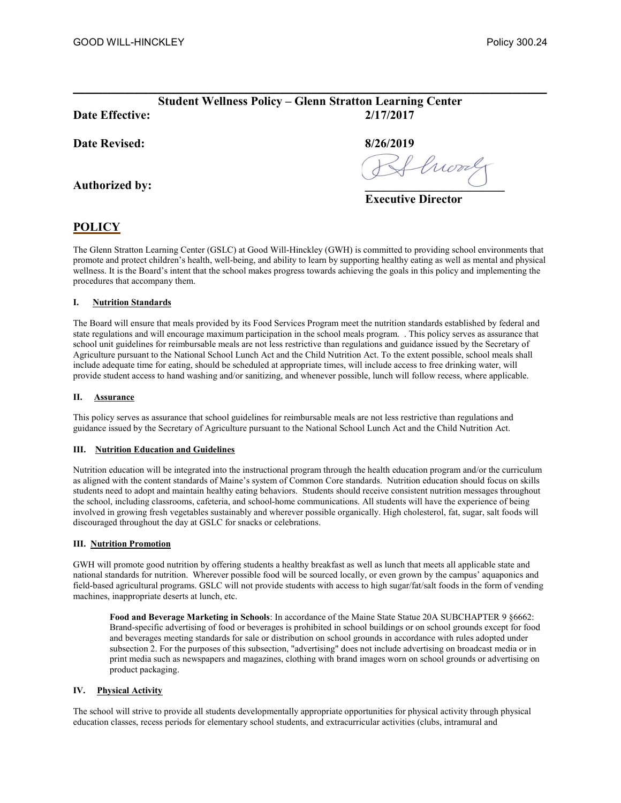# $\mathcal{L}_\text{max}$  , and the contract of the contract of the contract of the contract of the contract of the contract of the contract of the contract of the contract of the contract of the contract of the contract of the contr Student Wellness Policy – Glenn Stratton Learning Center Date Effective: 2/17/2017

# Date Revised: 8/26/2019

Authorized by:

Guerry

Executive Director

# POLICY

The Glenn Stratton Learning Center (GSLC) at Good Will-Hinckley (GWH) is committed to providing school environments that promote and protect children's health, well-being, and ability to learn by supporting healthy eating as well as mental and physical wellness. It is the Board's intent that the school makes progress towards achieving the goals in this policy and implementing the procedures that accompany them.

# I. Nutrition Standards

The Board will ensure that meals provided by its Food Services Program meet the nutrition standards established by federal and state regulations and will encourage maximum participation in the school meals program. . This policy serves as assurance that school unit guidelines for reimbursable meals are not less restrictive than regulations and guidance issued by the Secretary of Agriculture pursuant to the National School Lunch Act and the Child Nutrition Act. To the extent possible, school meals shall include adequate time for eating, should be scheduled at appropriate times, will include access to free drinking water, will provide student access to hand washing and/or sanitizing, and whenever possible, lunch will follow recess, where applicable.

# II. Assurance

This policy serves as assurance that school guidelines for reimbursable meals are not less restrictive than regulations and guidance issued by the Secretary of Agriculture pursuant to the National School Lunch Act and the Child Nutrition Act.

# III. Nutrition Education and Guidelines

Nutrition education will be integrated into the instructional program through the health education program and/or the curriculum as aligned with the content standards of Maine's system of Common Core standards. Nutrition education should focus on skills students need to adopt and maintain healthy eating behaviors. Students should receive consistent nutrition messages throughout the school, including classrooms, cafeteria, and school-home communications. All students will have the experience of being involved in growing fresh vegetables sustainably and wherever possible organically. High cholesterol, fat, sugar, salt foods will discouraged throughout the day at GSLC for snacks or celebrations.

### III. Nutrition Promotion

GWH will promote good nutrition by offering students a healthy breakfast as well as lunch that meets all applicable state and national standards for nutrition. Wherever possible food will be sourced locally, or even grown by the campus' aquaponics and field-based agricultural programs. GSLC will not provide students with access to high sugar/fat/salt foods in the form of vending machines, inappropriate deserts at lunch, etc.

Food and Beverage Marketing in Schools: In accordance of the Maine State Statue 20A SUBCHAPTER 9 §6662: Brand-specific advertising of food or beverages is prohibited in school buildings or on school grounds except for food and beverages meeting standards for sale or distribution on school grounds in accordance with rules adopted under subsection 2. For the purposes of this subsection, "advertising" does not include advertising on broadcast media or in print media such as newspapers and magazines, clothing with brand images worn on school grounds or advertising on product packaging.

# IV. Physical Activity

The school will strive to provide all students developmentally appropriate opportunities for physical activity through physical education classes, recess periods for elementary school students, and extracurricular activities (clubs, intramural and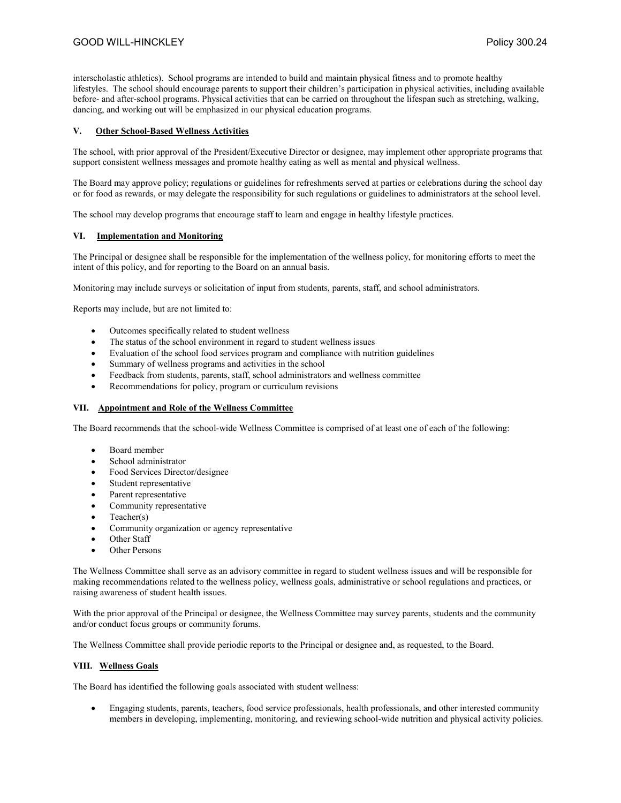interscholastic athletics). School programs are intended to build and maintain physical fitness and to promote healthy lifestyles. The school should encourage parents to support their children's participation in physical activities, including available before- and after-school programs. Physical activities that can be carried on throughout the lifespan such as stretching, walking, dancing, and working out will be emphasized in our physical education programs.

#### V. Other School-Based Wellness Activities

The school, with prior approval of the President/Executive Director or designee, may implement other appropriate programs that support consistent wellness messages and promote healthy eating as well as mental and physical wellness.

The Board may approve policy; regulations or guidelines for refreshments served at parties or celebrations during the school day or for food as rewards, or may delegate the responsibility for such regulations or guidelines to administrators at the school level.

The school may develop programs that encourage staff to learn and engage in healthy lifestyle practices.

#### VI. Implementation and Monitoring

The Principal or designee shall be responsible for the implementation of the wellness policy, for monitoring efforts to meet the intent of this policy, and for reporting to the Board on an annual basis.

Monitoring may include surveys or solicitation of input from students, parents, staff, and school administrators.

Reports may include, but are not limited to:

- Outcomes specifically related to student wellness
- The status of the school environment in regard to student wellness issues
- Evaluation of the school food services program and compliance with nutrition guidelines
- Summary of wellness programs and activities in the school
- Feedback from students, parents, staff, school administrators and wellness committee
- Recommendations for policy, program or curriculum revisions

#### VII. Appointment and Role of the Wellness Committee

The Board recommends that the school-wide Wellness Committee is comprised of at least one of each of the following:

- Board member
- School administrator
- Food Services Director/designee
- Student representative
- Parent representative
- Community representative
- $\bullet$  Teacher(s)
- Community organization or agency representative
- Other Staff
- Other Persons

The Wellness Committee shall serve as an advisory committee in regard to student wellness issues and will be responsible for making recommendations related to the wellness policy, wellness goals, administrative or school regulations and practices, or raising awareness of student health issues.

With the prior approval of the Principal or designee, the Wellness Committee may survey parents, students and the community and/or conduct focus groups or community forums.

The Wellness Committee shall provide periodic reports to the Principal or designee and, as requested, to the Board.

#### VIII. Wellness Goals

The Board has identified the following goals associated with student wellness:

 Engaging students, parents, teachers, food service professionals, health professionals, and other interested community members in developing, implementing, monitoring, and reviewing school-wide nutrition and physical activity policies.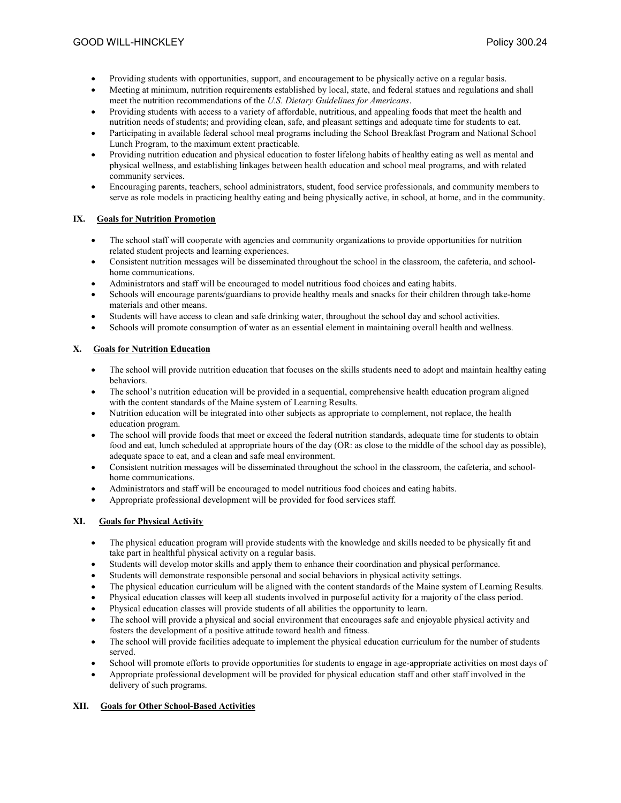- Providing students with opportunities, support, and encouragement to be physically active on a regular basis.
- Meeting at minimum, nutrition requirements established by local, state, and federal statues and regulations and shall meet the nutrition recommendations of the U.S. Dietary Guidelines for Americans.
- Providing students with access to a variety of affordable, nutritious, and appealing foods that meet the health and nutrition needs of students; and providing clean, safe, and pleasant settings and adequate time for students to eat.
- Participating in available federal school meal programs including the School Breakfast Program and National School Lunch Program, to the maximum extent practicable.
- Providing nutrition education and physical education to foster lifelong habits of healthy eating as well as mental and physical wellness, and establishing linkages between health education and school meal programs, and with related community services.
- Encouraging parents, teachers, school administrators, student, food service professionals, and community members to serve as role models in practicing healthy eating and being physically active, in school, at home, and in the community.

### IX. Goals for Nutrition Promotion

- The school staff will cooperate with agencies and community organizations to provide opportunities for nutrition related student projects and learning experiences.
- Consistent nutrition messages will be disseminated throughout the school in the classroom, the cafeteria, and schoolhome communications.
- Administrators and staff will be encouraged to model nutritious food choices and eating habits.
- Schools will encourage parents/guardians to provide healthy meals and snacks for their children through take-home materials and other means.
- Students will have access to clean and safe drinking water, throughout the school day and school activities.
- Schools will promote consumption of water as an essential element in maintaining overall health and wellness.

# X. Goals for Nutrition Education

- The school will provide nutrition education that focuses on the skills students need to adopt and maintain healthy eating behaviors.
- The school's nutrition education will be provided in a sequential, comprehensive health education program aligned with the content standards of the Maine system of Learning Results.
- Nutrition education will be integrated into other subjects as appropriate to complement, not replace, the health education program.
- The school will provide foods that meet or exceed the federal nutrition standards, adequate time for students to obtain food and eat, lunch scheduled at appropriate hours of the day (OR: as close to the middle of the school day as possible), adequate space to eat, and a clean and safe meal environment.
- Consistent nutrition messages will be disseminated throughout the school in the classroom, the cafeteria, and schoolhome communications.
- Administrators and staff will be encouraged to model nutritious food choices and eating habits.
- Appropriate professional development will be provided for food services staff.

# XI. Goals for Physical Activity

- The physical education program will provide students with the knowledge and skills needed to be physically fit and take part in healthful physical activity on a regular basis.
- Students will develop motor skills and apply them to enhance their coordination and physical performance.
- Students will demonstrate responsible personal and social behaviors in physical activity settings.
- The physical education curriculum will be aligned with the content standards of the Maine system of Learning Results.
- Physical education classes will keep all students involved in purposeful activity for a majority of the class period.
- Physical education classes will provide students of all abilities the opportunity to learn.
- The school will provide a physical and social environment that encourages safe and enjoyable physical activity and fosters the development of a positive attitude toward health and fitness.
- The school will provide facilities adequate to implement the physical education curriculum for the number of students served.
- School will promote efforts to provide opportunities for students to engage in age-appropriate activities on most days of
- Appropriate professional development will be provided for physical education staff and other staff involved in the delivery of such programs.

### XII. Goals for Other School-Based Activities